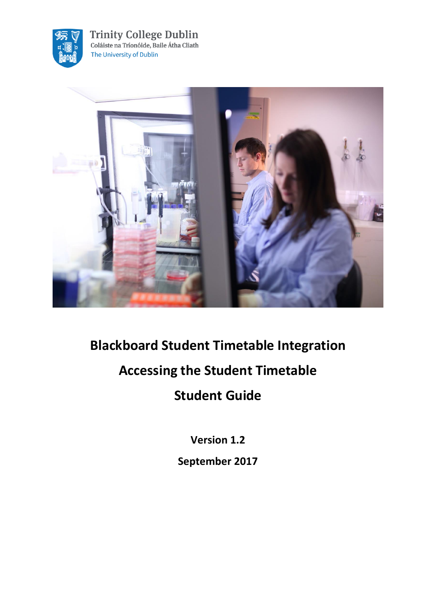

**Trinity College Dublin**<br>Coláiste na Tríonóide, Baile Átha Cliath The University of Dublin



**Blackboard Student Timetable Integration Accessing the Student Timetable Student Guide**

**Version 1.2**

**September 2017**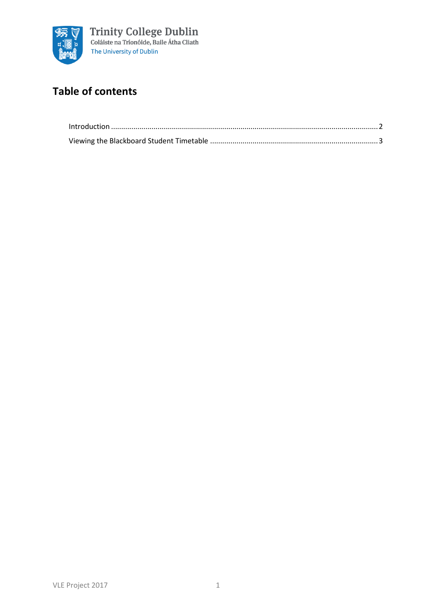

## **Table of contents**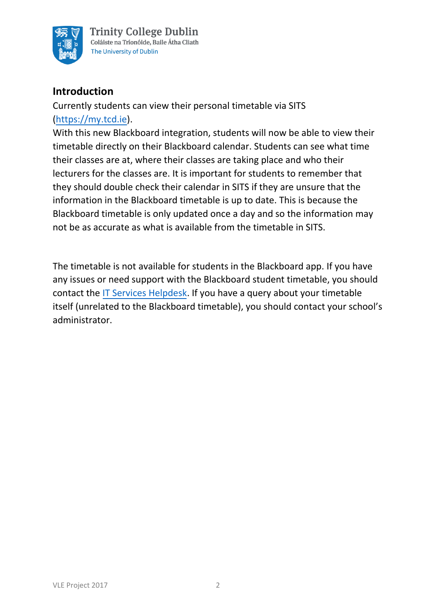

## <span id="page-2-0"></span>**Introduction**

Currently students can view their personal timetable via SITS [\(https://my.tcd.ie\).](https://my.tcd.ie/)

With this new Blackboard integration, students will now be able to view their timetable directly on their Blackboard calendar. Students can see what time their classes are at, where their classes are taking place and who their lecturers for the classes are. It is important for students to remember that they should double check their calendar in SITS if they are unsure that the information in the Blackboard timetable is up to date. This is because the Blackboard timetable is only updated once a day and so the information may not be as accurate as what is available from the timetable in SITS.

The timetable is not available for students in the Blackboard app. If you have any issues or need support with the Blackboard student timetable, you should contact the [IT Services Helpdesk.](https://www.tcd.ie/itservices/help/it-service-desk-contact.php) If you have a query about your timetable itself (unrelated to the Blackboard timetable), you should contact your school's administrator.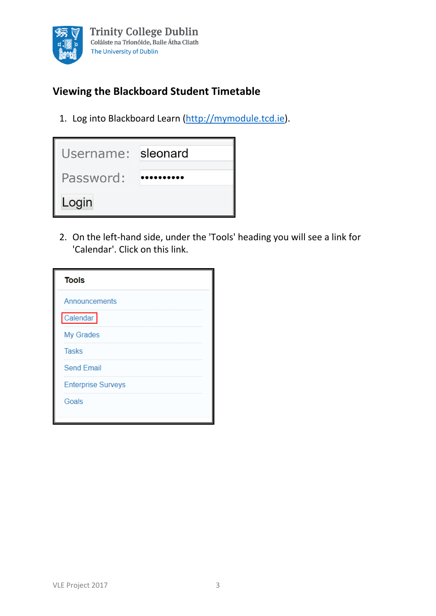

## <span id="page-3-0"></span>**Viewing the Blackboard Student Timetable**

1. Log into Blackboard Learn [\(http://mymodule.tcd.ie\)](http://mymodule.tcd.ie/).

| Username: sleonard |  |
|--------------------|--|
| Password:          |  |
| Login              |  |

2. On the left-hand side, under the 'Tools' heading you will see a link for 'Calendar'. Click on this link.

| <b>Tools</b>              |  |
|---------------------------|--|
| Announcements             |  |
| Calendar                  |  |
| My Grades                 |  |
| <b>Tasks</b>              |  |
| <b>Send Email</b>         |  |
| <b>Enterprise Surveys</b> |  |
| Goals                     |  |
|                           |  |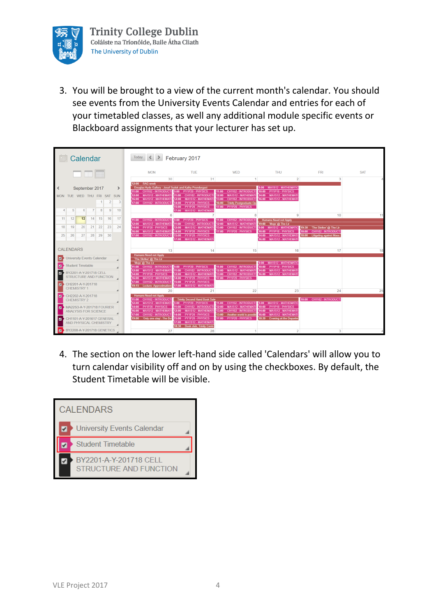

3. You will be brought to a view of the current month's calendar. You should see events from the University Events Calendar and entries for each of your timetabled classes, as well any additional module specific events or Blackboard assignments that your lecturer has set up.



4. The section on the lower left-hand side called 'Calendars' will allow you to turn calendar visibility off and on by using the checkboxes. By default, the Student Timetable will be visible.

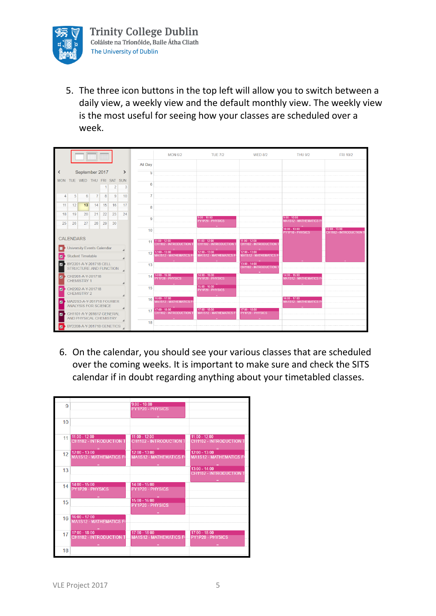

5. The three icon buttons in the top left will allow you to switch between a daily view, a weekly view and the default monthly view. The weekly view is the most useful for seeing how your classes are scheduled over a week.

|                                                                                 |                                                     |                                                          | <b>THE REAL</b> |    |                |               |                | <b>MON 6/2</b>                                    | <b>TUE 7/2</b>                                   | <b>WED 8/2</b>                                   | <b>THU 9/2</b>                                   | <b>FRI 10/2</b>                                   |
|---------------------------------------------------------------------------------|-----------------------------------------------------|----------------------------------------------------------|-----------------|----|----------------|---------------|----------------|---------------------------------------------------|--------------------------------------------------|--------------------------------------------------|--------------------------------------------------|---------------------------------------------------|
|                                                                                 |                                                     |                                                          |                 |    |                |               | All Day        |                                                   |                                                  |                                                  |                                                  |                                                   |
| ≺                                                                               |                                                     | September 2017                                           |                 |    |                | $\rightarrow$ | 5              |                                                   |                                                  |                                                  |                                                  |                                                   |
|                                                                                 |                                                     | MON TUE WED THU FRI SAT SUN                              |                 |    |                |               | 6              |                                                   |                                                  |                                                  |                                                  |                                                   |
|                                                                                 |                                                     |                                                          |                 |    | $\overline{2}$ | 3             |                |                                                   |                                                  |                                                  |                                                  |                                                   |
| 4                                                                               | $\sqrt{5}$                                          | 6                                                        | $\overline{7}$  | 8  | 9              | 10            | $\overline{7}$ |                                                   |                                                  |                                                  |                                                  |                                                   |
| 11                                                                              | 12                                                  | 13                                                       | 14              | 15 | 16             | 17            | 8              |                                                   |                                                  |                                                  |                                                  |                                                   |
| 18                                                                              | 19                                                  | 20                                                       | 21              | 22 | 23             | 24            |                |                                                   |                                                  |                                                  |                                                  |                                                   |
| 25                                                                              | 26                                                  | 27                                                       | 28              | 29 | 30             |               | 9              |                                                   | $9.00 - 10.00$<br>PY1P20 - PHYSICS               |                                                  | $9:00 - 10:00$<br><b>MA1S12 - MATHEMATICS F</b>  |                                                   |
|                                                                                 |                                                     |                                                          |                 |    |                |               | 10             |                                                   |                                                  |                                                  | 10:00 - 13:00<br>PY1P10 - PHYSICS                | $10:00 - 13:00$<br><b>CH1102 - INTRODUCTION T</b> |
|                                                                                 | <b>CALENDARS</b>                                    |                                                          |                 |    |                |               |                | $11:00 - 12:00$                                   | $11:00 - 12:00$                                  | $11:00 - 12:00$                                  |                                                  |                                                   |
|                                                                                 |                                                     |                                                          |                 |    |                |               | 11             | <b>CH1102 - INTRODUCTION T</b>                    | CH1102 - INTRODUCTION                            | <b>CH1102 - INTRODUCTION 1</b>                   |                                                  |                                                   |
| <b>University Events Calendar</b><br><b>Student Timetable</b><br>$\blacksquare$ |                                                     |                                                          |                 |    |                |               | 12             | 12:00 - 13:00<br>MA1S12 - MATHEMATICS FO          | $12:00 - 13:00$<br><b>MA1S12 - MATHEMATICS F</b> | $12:00 - 13:00$<br><b>MA1S12 - MATHEMATICS F</b> |                                                  |                                                   |
| BY2201-A-Y-201718 CELL                                                          |                                                     |                                                          |                 |    |                |               | 13             |                                                   |                                                  | $13:00 - 14:00$                                  |                                                  |                                                   |
| STRUCTURE AND FUNCTION                                                          |                                                     |                                                          |                 |    |                |               |                |                                                   |                                                  | <b>CH1102 - INTRODUCTION 1</b>                   |                                                  |                                                   |
| CH2201-A-Y-201718<br>$\overline{a}$<br><b>CHEMISTRY 1</b>                       |                                                     |                                                          |                 |    |                |               |                | $14$ $14:00 - 15:00$<br>PY1P20 - PHYSICS          | $14:00 - 15:00$<br>PY1P20 - PHYSICS              |                                                  | $14:00 - 15:00$<br><b>MA1S12 - MATHEMATICS F</b> |                                                   |
| CH2202-A-Y-201718<br>$\blacksquare$<br><b>CHEMISTRY 2</b>                       |                                                     |                                                          |                 |    |                |               | 15             |                                                   | $15:00 - 16:00$<br>PY1P20 - PHYSICS              |                                                  |                                                  |                                                   |
| $\blacksquare$                                                                  |                                                     | MA22S3-A-Y-201718 FOURIER<br><b>ANALYSIS FOR SCIENCE</b> |                 |    |                |               |                | 16 16:00 - 17:00<br><b>MA1S12 - MATHEMATICS F</b> |                                                  |                                                  | $16:00 - 17:00$<br><b>MA1S12 - MATHEMATICS F</b> |                                                   |
| $\overline{a}$                                                                  | CH1101-A-Y-201617 GENERAL<br>AND PHYSICAL CHEMISTRY |                                                          |                 |    |                |               | 17             | $17:00 - 18:00$<br><b>CH1102 - INTRODUCTION T</b> | $17:00 - 18:00$<br><b>MA1S12 - MATHEMATICS F</b> | $17:00 - 18:00$<br>PY1P20 - PHYSICS              |                                                  |                                                   |
| ø                                                                               |                                                     | BY2208-A-Y-201718 GENETICS                               |                 |    |                |               | 18             |                                                   |                                                  |                                                  |                                                  |                                                   |

6. On the calendar, you should see your various classes that are scheduled over the coming weeks. It is important to make sure and check the SITS calendar if in doubt regarding anything about your timetabled classes.